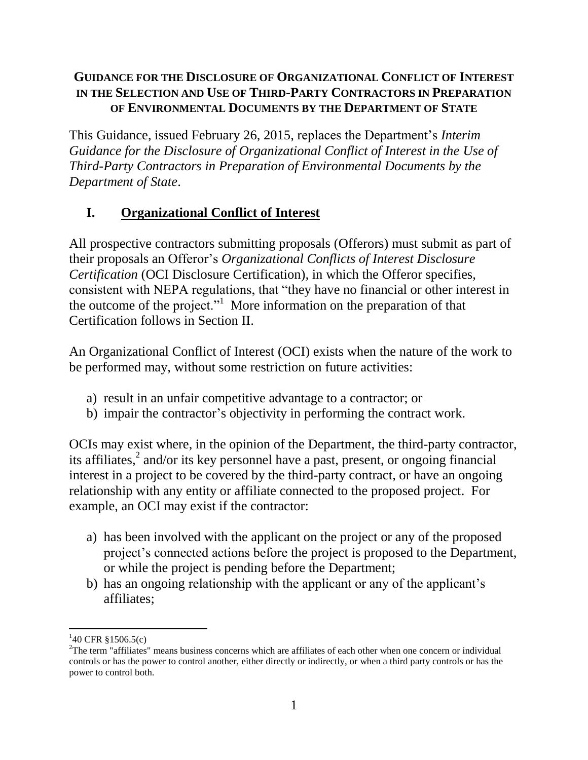#### **GUIDANCE FOR THE DISCLOSURE OF ORGANIZATIONAL CONFLICT OF INTEREST IN THE SELECTION AND USE OF THIRD-PARTY CONTRACTORS IN PREPARATION OF ENVIRONMENTAL DOCUMENTS BY THE DEPARTMENT OF STATE**

This Guidance, issued February 26, 2015, replaces the Department's *Interim Guidance for the Disclosure of Organizational Conflict of Interest in the Use of Third-Party Contractors in Preparation of Environmental Documents by the Department of State*.

## **I. Organizational Conflict of Interest**

All prospective contractors submitting proposals (Offerors) must submit as part of their proposals an Offeror's *Organizational Conflicts of Interest Disclosure Certification* (OCI Disclosure Certification)*,* in which the Offeror specifies, consistent with NEPA regulations, that "they have no financial or other interest in the outcome of the project."<sup>1</sup> More information on the preparation of that Certification follows in Section II.

An Organizational Conflict of Interest (OCI) exists when the nature of the work to be performed may, without some restriction on future activities:

- a) result in an unfair competitive advantage to a contractor; or
- b) impair the contractor's objectivity in performing the contract work.

OCIs may exist where, in the opinion of the Department, the third-party contractor, its affiliates, 2 and/or its key personnel have a past, present, or ongoing financial interest in a project to be covered by the third-party contract, or have an ongoing relationship with any entity or affiliate connected to the proposed project. For example, an OCI may exist if the contractor:

- a) has been involved with the applicant on the project or any of the proposed project's connected actions before the project is proposed to the Department, or while the project is pending before the Department;
- b) has an ongoing relationship with the applicant or any of the applicant's affiliates;

 $\overline{\phantom{a}}$ 

 $140$  CFR §1506.5(c)

 $2$ The term "affiliates" means business concerns which are affiliates of each other when one concern or individual controls or has the power to control another, either directly or indirectly, or when a third party controls or has the power to control both.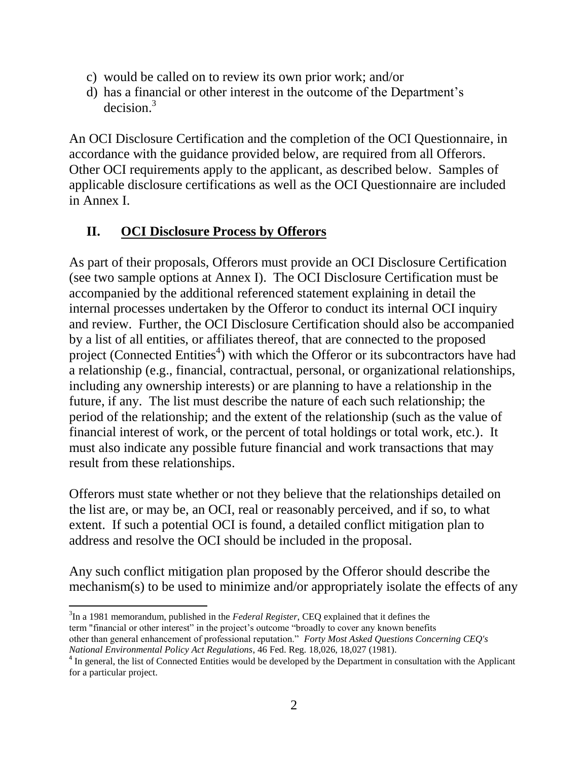- c) would be called on to review its own prior work; and/or
- d) has a financial or other interest in the outcome of the Department's  $decision.<sup>3</sup>$

An OCI Disclosure Certification and the completion of the OCI Questionnaire, in accordance with the guidance provided below, are required from all Offerors. Other OCI requirements apply to the applicant, as described below. Samples of applicable disclosure certifications as well as the OCI Questionnaire are included in Annex I.

#### **II. OCI Disclosure Process by Offerors**

As part of their proposals, Offerors must provide an OCI Disclosure Certification (see two sample options at Annex I). The OCI Disclosure Certification must be accompanied by the additional referenced statement explaining in detail the internal processes undertaken by the Offeror to conduct its internal OCI inquiry and review. Further, the OCI Disclosure Certification should also be accompanied by a list of all entities, or affiliates thereof, that are connected to the proposed project (Connected Entities<sup>4</sup>) with which the Offeror or its subcontractors have had a relationship (e.g., financial, contractual, personal, or organizational relationships, including any ownership interests) or are planning to have a relationship in the future, if any. The list must describe the nature of each such relationship; the period of the relationship; and the extent of the relationship (such as the value of financial interest of work, or the percent of total holdings or total work, etc.). It must also indicate any possible future financial and work transactions that may result from these relationships.

Offerors must state whether or not they believe that the relationships detailed on the list are, or may be, an OCI, real or reasonably perceived, and if so, to what extent. If such a potential OCI is found, a detailed conflict mitigation plan to address and resolve the OCI should be included in the proposal.

Any such conflict mitigation plan proposed by the Offeror should describe the mechanism(s) to be used to minimize and/or appropriately isolate the effects of any

 $\overline{\phantom{a}}$ 3 In a 1981 memorandum, published in the *Federal Register*, CEQ explained that it defines the term "financial or other interest" in the project's outcome "broadly to cover any known benefits other than general enhancement of professional reputation." *Forty Most Asked Questions Concerning CEQ's National Environmental Policy Act Regulations*, 46 Fed. Reg. 18,026, 18,027 (1981).

<sup>&</sup>lt;sup>4</sup> In general, the list of Connected Entities would be developed by the Department in consultation with the Applicant for a particular project.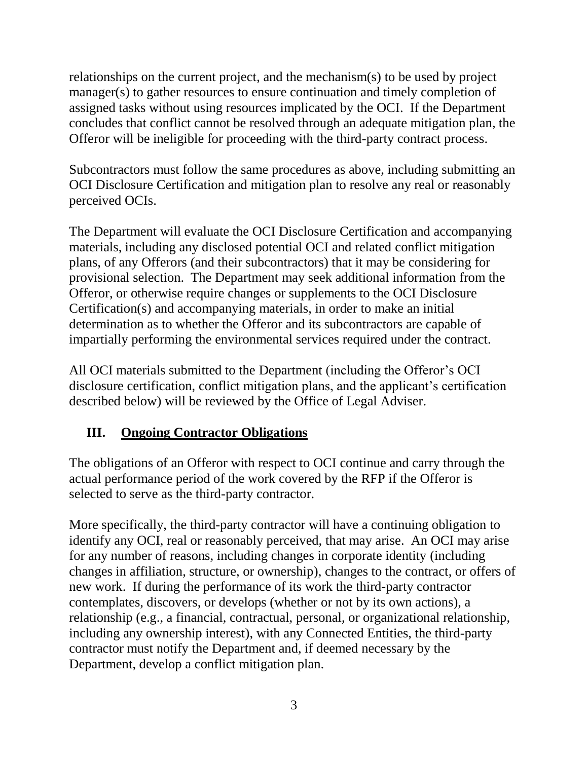relationships on the current project, and the mechanism(s) to be used by project manager(s) to gather resources to ensure continuation and timely completion of assigned tasks without using resources implicated by the OCI. If the Department concludes that conflict cannot be resolved through an adequate mitigation plan, the Offeror will be ineligible for proceeding with the third-party contract process.

Subcontractors must follow the same procedures as above, including submitting an OCI Disclosure Certification and mitigation plan to resolve any real or reasonably perceived OCIs.

The Department will evaluate the OCI Disclosure Certification and accompanying materials, including any disclosed potential OCI and related conflict mitigation plans, of any Offerors (and their subcontractors) that it may be considering for provisional selection. The Department may seek additional information from the Offeror, or otherwise require changes or supplements to the OCI Disclosure Certification(s) and accompanying materials, in order to make an initial determination as to whether the Offeror and its subcontractors are capable of impartially performing the environmental services required under the contract.

All OCI materials submitted to the Department (including the Offeror's OCI disclosure certification, conflict mitigation plans, and the applicant's certification described below) will be reviewed by the Office of Legal Adviser.

## **III. Ongoing Contractor Obligations**

The obligations of an Offeror with respect to OCI continue and carry through the actual performance period of the work covered by the RFP if the Offeror is selected to serve as the third-party contractor.

More specifically, the third-party contractor will have a continuing obligation to identify any OCI, real or reasonably perceived, that may arise. An OCI may arise for any number of reasons, including changes in corporate identity (including changes in affiliation, structure, or ownership), changes to the contract, or offers of new work. If during the performance of its work the third-party contractor contemplates, discovers, or develops (whether or not by its own actions), a relationship (e.g., a financial, contractual, personal, or organizational relationship, including any ownership interest), with any Connected Entities, the third-party contractor must notify the Department and, if deemed necessary by the Department, develop a conflict mitigation plan.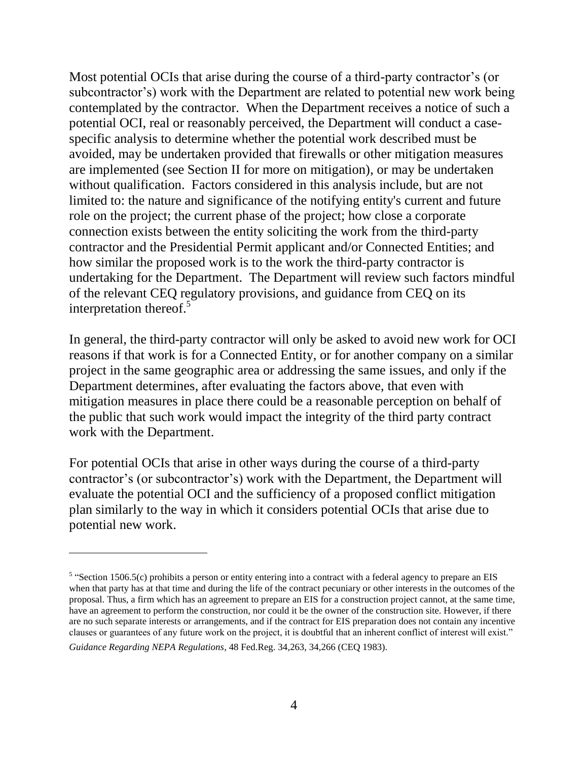Most potential OCIs that arise during the course of a third-party contractor's (or subcontractor's) work with the Department are related to potential new work being contemplated by the contractor. When the Department receives a notice of such a potential OCI, real or reasonably perceived, the Department will conduct a casespecific analysis to determine whether the potential work described must be avoided, may be undertaken provided that firewalls or other mitigation measures are implemented (see Section II for more on mitigation), or may be undertaken without qualification. Factors considered in this analysis include, but are not limited to: the nature and significance of the notifying entity's current and future role on the project; the current phase of the project; how close a corporate connection exists between the entity soliciting the work from the third-party contractor and the Presidential Permit applicant and/or Connected Entities; and how similar the proposed work is to the work the third-party contractor is undertaking for the Department. The Department will review such factors mindful of the relevant CEQ regulatory provisions, and guidance from CEQ on its interpretation thereof. 5

In general, the third-party contractor will only be asked to avoid new work for OCI reasons if that work is for a Connected Entity, or for another company on a similar project in the same geographic area or addressing the same issues, and only if the Department determines, after evaluating the factors above, that even with mitigation measures in place there could be a reasonable perception on behalf of the public that such work would impact the integrity of the third party contract work with the Department.

For potential OCIs that arise in other ways during the course of a third-party contractor's (or subcontractor's) work with the Department, the Department will evaluate the potential OCI and the sufficiency of a proposed conflict mitigation plan similarly to the way in which it considers potential OCIs that arise due to potential new work.

 $\overline{\phantom{a}}$ 

 $5$  "Section 1506.5(c) prohibits a person or entity entering into a contract with a federal agency to prepare an EIS when that party has at that time and during the life of the contract pecuniary or other interests in the outcomes of the proposal. Thus, a firm which has an agreement to prepare an EIS for a construction project cannot, at the same time, have an agreement to perform the construction, nor could it be the owner of the construction site. However, if there are no such separate interests or arrangements, and if the contract for EIS preparation does not contain any incentive clauses or guarantees of any future work on the project, it is doubtful that an inherent conflict of interest will exist." *Guidance Regarding NEPA Regulations*, 48 Fed.Reg. 34,263, 34,266 (CEQ 1983).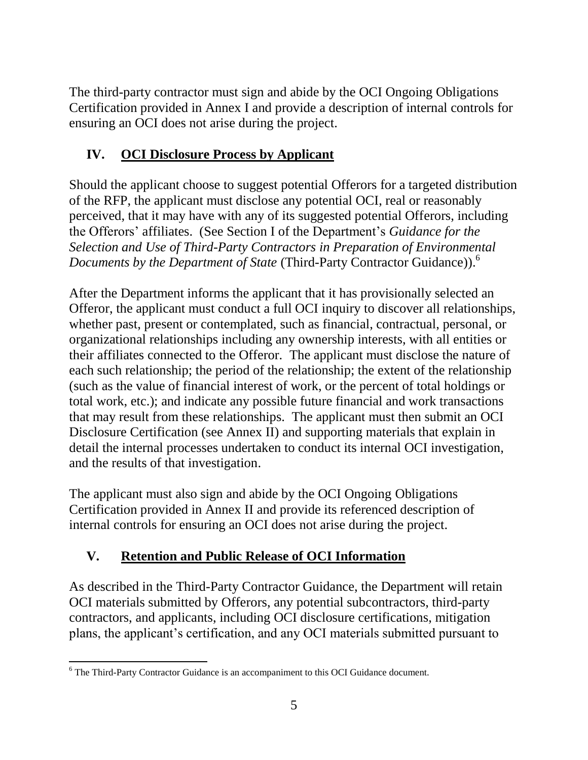The third-party contractor must sign and abide by the OCI Ongoing Obligations Certification provided in Annex I and provide a description of internal controls for ensuring an OCI does not arise during the project.

# **IV. OCI Disclosure Process by Applicant**

Should the applicant choose to suggest potential Offerors for a targeted distribution of the RFP, the applicant must disclose any potential OCI, real or reasonably perceived, that it may have with any of its suggested potential Offerors, including the Offerors' affiliates. (See Section I of the Department's *Guidance for the Selection and Use of Third-Party Contractors in Preparation of Environmental Documents by the Department of State* (Third-Party Contractor Guidance)). 6

After the Department informs the applicant that it has provisionally selected an Offeror, the applicant must conduct a full OCI inquiry to discover all relationships, whether past, present or contemplated, such as financial, contractual, personal, or organizational relationships including any ownership interests, with all entities or their affiliates connected to the Offeror. The applicant must disclose the nature of each such relationship; the period of the relationship; the extent of the relationship (such as the value of financial interest of work, or the percent of total holdings or total work, etc.); and indicate any possible future financial and work transactions that may result from these relationships. The applicant must then submit an OCI Disclosure Certification (see Annex II) and supporting materials that explain in detail the internal processes undertaken to conduct its internal OCI investigation, and the results of that investigation.

The applicant must also sign and abide by the OCI Ongoing Obligations Certification provided in Annex II and provide its referenced description of internal controls for ensuring an OCI does not arise during the project.

# **V. Retention and Public Release of OCI Information**

As described in the Third-Party Contractor Guidance, the Department will retain OCI materials submitted by Offerors, any potential subcontractors, third-party contractors, and applicants, including OCI disclosure certifications, mitigation plans, the applicant's certification, and any OCI materials submitted pursuant to

 $\overline{\phantom{a}}$ <sup>6</sup> The Third-Party Contractor Guidance is an accompaniment to this OCI Guidance document.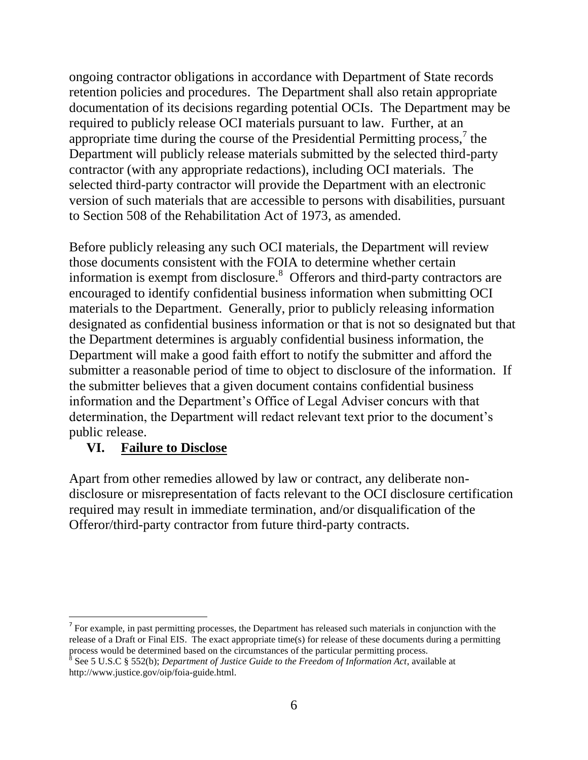ongoing contractor obligations in accordance with Department of State records retention policies and procedures. The Department shall also retain appropriate documentation of its decisions regarding potential OCIs. The Department may be required to publicly release OCI materials pursuant to law. Further, at an appropriate time during the course of the Presidential Permitting process, $\frac{7}{1}$  the Department will publicly release materials submitted by the selected third-party contractor (with any appropriate redactions), including OCI materials. The selected third-party contractor will provide the Department with an electronic version of such materials that are accessible to persons with disabilities, pursuant to Section 508 of the Rehabilitation Act of 1973, as amended.

Before publicly releasing any such OCI materials, the Department will review those documents consistent with the FOIA to determine whether certain information is exempt from disclosure. $8$  Offerors and third-party contractors are encouraged to identify confidential business information when submitting OCI materials to the Department. Generally, prior to publicly releasing information designated as confidential business information or that is not so designated but that the Department determines is arguably confidential business information, the Department will make a good faith effort to notify the submitter and afford the submitter a reasonable period of time to object to disclosure of the information. If the submitter believes that a given document contains confidential business information and the Department's Office of Legal Adviser concurs with that determination, the Department will redact relevant text prior to the document's public release.

#### **VI. Failure to Disclose**

Apart from other remedies allowed by law or contract, any deliberate nondisclosure or misrepresentation of facts relevant to the OCI disclosure certification required may result in immediate termination, and/or disqualification of the Offeror/third-party contractor from future third-party contracts.

l  $<sup>7</sup>$  For example, in past permitting processes, the Department has released such materials in conjunction with the</sup> release of a Draft or Final EIS. The exact appropriate time(s) for release of these documents during a permitting process would be determined based on the circumstances of the particular permitting process.<br><sup>8</sup> See 5 U.S.C § 552(b); *Department of Justice Guide to the Freedom of Information Act*, available at

http://www.justice.gov/oip/foia-guide.html.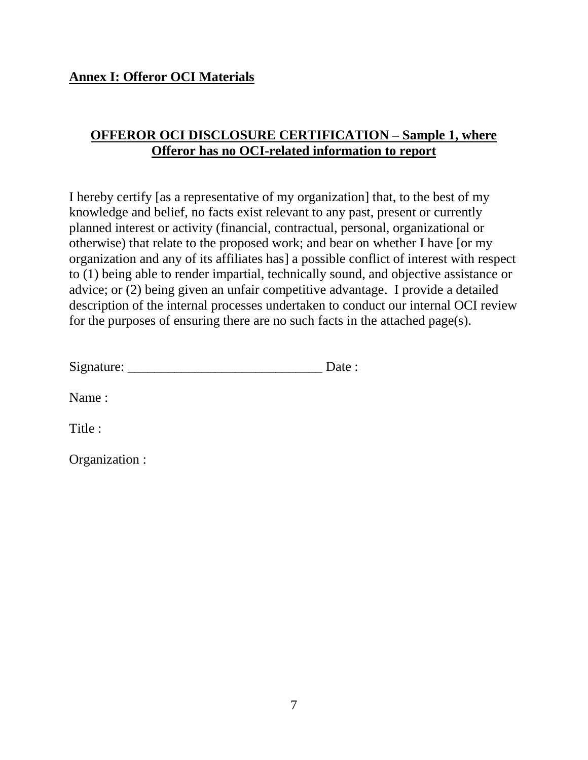#### **Annex I: Offeror OCI Materials**

#### **OFFEROR OCI DISCLOSURE CERTIFICATION – Sample 1, where Offeror has no OCI-related information to report**

I hereby certify [as a representative of my organization] that, to the best of my knowledge and belief, no facts exist relevant to any past, present or currently planned interest or activity (financial, contractual, personal, organizational or otherwise) that relate to the proposed work; and bear on whether I have [or my organization and any of its affiliates has] a possible conflict of interest with respect to (1) being able to render impartial, technically sound, and objective assistance or advice; or (2) being given an unfair competitive advantage. I provide a detailed description of the internal processes undertaken to conduct our internal OCI review for the purposes of ensuring there are no such facts in the attached page(s).

| Signature: |  |
|------------|--|
|------------|--|

Name :

Title :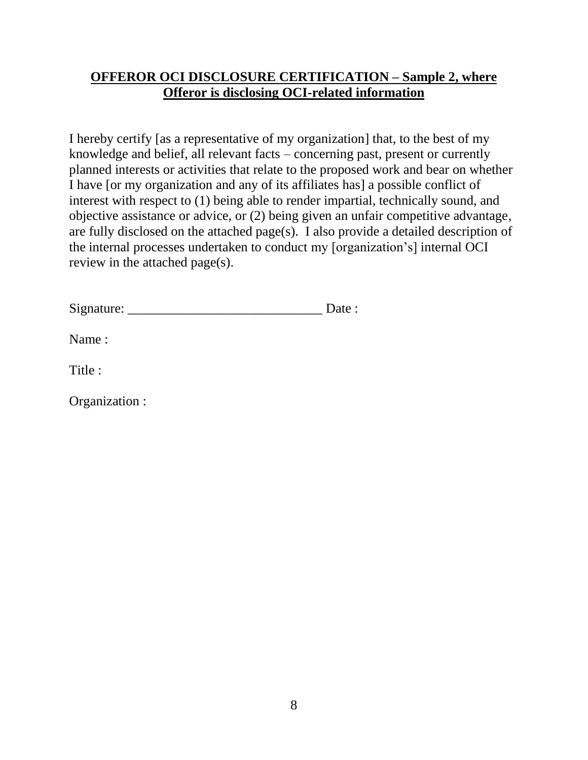#### **OFFEROR OCI DISCLOSURE CERTIFICATION – Sample 2, where Offeror is disclosing OCI-related information**

I hereby certify [as a representative of my organization] that, to the best of my knowledge and belief, all relevant facts – concerning past, present or currently planned interests or activities that relate to the proposed work and bear on whether I have [or my organization and any of its affiliates has] a possible conflict of interest with respect to (1) being able to render impartial, technically sound, and objective assistance or advice, or (2) being given an unfair competitive advantage, are fully disclosed on the attached page(s). I also provide a detailed description of the internal processes undertaken to conduct my [organization's] internal OCI review in the attached page(s).

Name :

Title :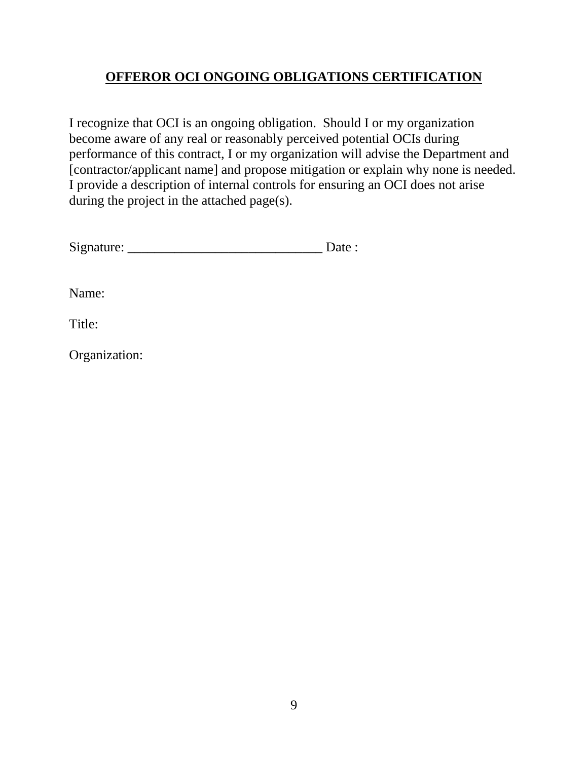## **OFFEROR OCI ONGOING OBLIGATIONS CERTIFICATION**

I recognize that OCI is an ongoing obligation. Should I or my organization become aware of any real or reasonably perceived potential OCIs during performance of this contract, I or my organization will advise the Department and [contractor/applicant name] and propose mitigation or explain why none is needed. I provide a description of internal controls for ensuring an OCI does not arise during the project in the attached page(s).

| Signature: |  |
|------------|--|
|            |  |

Name:

Title: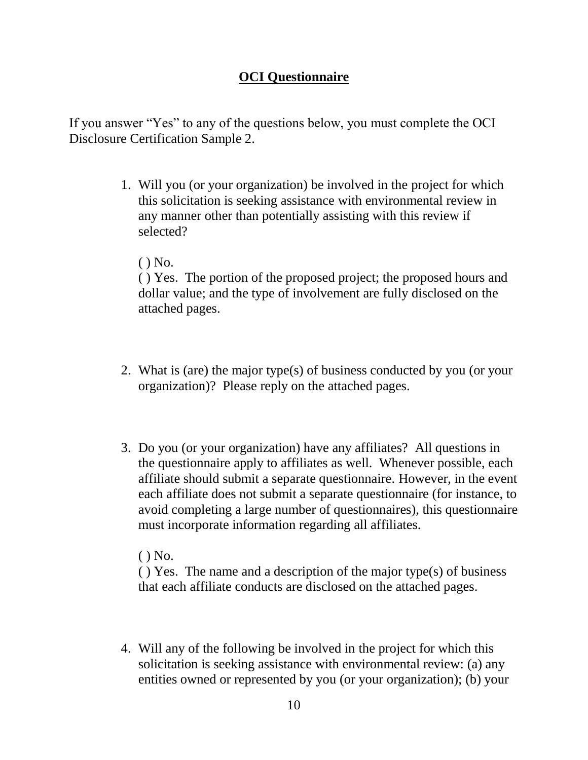#### **OCI Questionnaire**

If you answer "Yes" to any of the questions below, you must complete the OCI Disclosure Certification Sample 2.

- 1. Will you (or your organization) be involved in the project for which this solicitation is seeking assistance with environmental review in any manner other than potentially assisting with this review if selected?
	- ( ) No.

( ) Yes. The portion of the proposed project; the proposed hours and dollar value; and the type of involvement are fully disclosed on the attached pages.

- 2. What is (are) the major type(s) of business conducted by you (or your organization)? Please reply on the attached pages.
- 3. Do you (or your organization) have any affiliates? All questions in the questionnaire apply to affiliates as well. Whenever possible, each affiliate should submit a separate questionnaire. However, in the event each affiliate does not submit a separate questionnaire (for instance, to avoid completing a large number of questionnaires), this questionnaire must incorporate information regarding all affiliates.

 $()$  No.

( ) Yes. The name and a description of the major type(s) of business that each affiliate conducts are disclosed on the attached pages.

4. Will any of the following be involved in the project for which this solicitation is seeking assistance with environmental review: (a) any entities owned or represented by you (or your organization); (b) your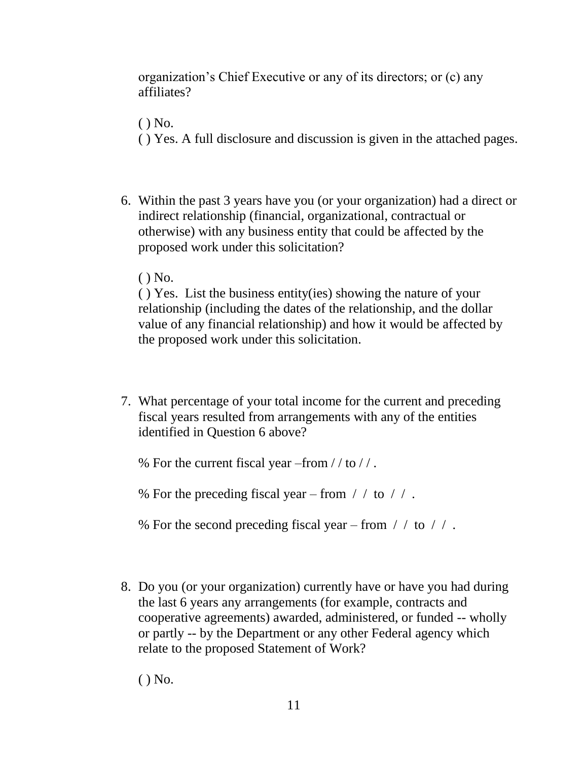organization's Chief Executive or any of its directors; or (c) any affiliates?

 $()$  No.

- ( ) Yes. A full disclosure and discussion is given in the attached pages.
- 6. Within the past 3 years have you (or your organization) had a direct or indirect relationship (financial, organizational, contractual or otherwise) with any business entity that could be affected by the proposed work under this solicitation?
	- ( ) No.

( ) Yes. List the business entity(ies) showing the nature of your relationship (including the dates of the relationship, and the dollar value of any financial relationship) and how it would be affected by the proposed work under this solicitation.

7. What percentage of your total income for the current and preceding fiscal years resulted from arrangements with any of the entities identified in Question 6 above?

% For the current fiscal year  $-$ from //to //.

% For the preceding fiscal year – from  $\frac{\pi}{2}$  to  $\frac{\pi}{2}$ .

% For the second preceding fiscal year – from  $\frac{\pi}{6}$  to  $\frac{\pi}{6}$ .

8. Do you (or your organization) currently have or have you had during the last 6 years any arrangements (for example, contracts and cooperative agreements) awarded, administered, or funded -- wholly or partly -- by the Department or any other Federal agency which relate to the proposed Statement of Work?

( ) No.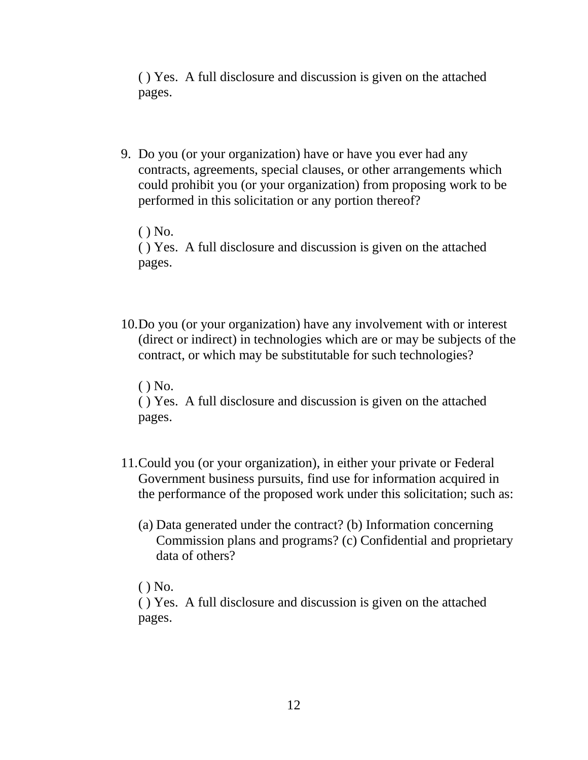( ) Yes. A full disclosure and discussion is given on the attached pages.

9. Do you (or your organization) have or have you ever had any contracts, agreements, special clauses, or other arrangements which could prohibit you (or your organization) from proposing work to be performed in this solicitation or any portion thereof?

( ) No. ( ) Yes. A full disclosure and discussion is given on the attached pages.

10.Do you (or your organization) have any involvement with or interest (direct or indirect) in technologies which are or may be subjects of the contract, or which may be substitutable for such technologies?

 $()$  No.

( ) Yes. A full disclosure and discussion is given on the attached pages.

- 11.Could you (or your organization), in either your private or Federal Government business pursuits, find use for information acquired in the performance of the proposed work under this solicitation; such as:
	- (a) Data generated under the contract? (b) Information concerning Commission plans and programs? (c) Confidential and proprietary data of others?
	- $()$  No.

( ) Yes. A full disclosure and discussion is given on the attached pages.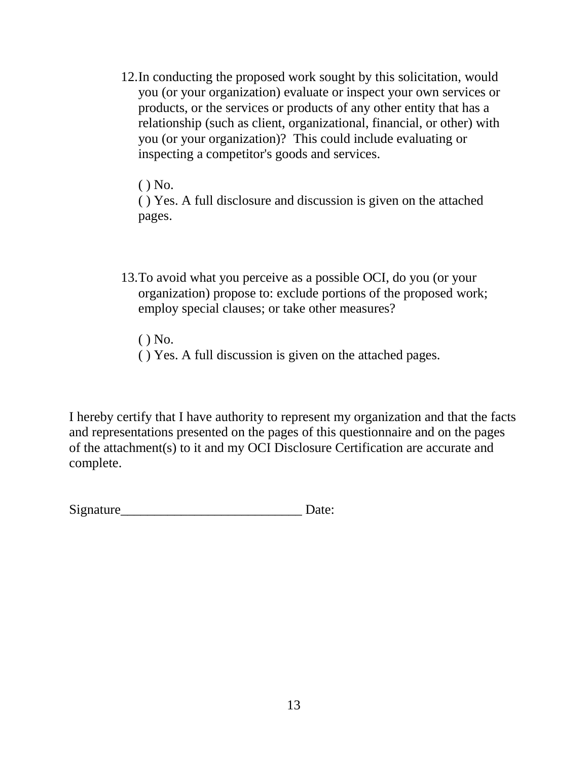12.In conducting the proposed work sought by this solicitation, would you (or your organization) evaluate or inspect your own services or products, or the services or products of any other entity that has a relationship (such as client, organizational, financial, or other) with you (or your organization)? This could include evaluating or inspecting a competitor's goods and services.

( ) No.

( ) Yes. A full disclosure and discussion is given on the attached pages.

- 13.To avoid what you perceive as a possible OCI, do you (or your organization) propose to: exclude portions of the proposed work; employ special clauses; or take other measures?
	- ( ) No.
	- ( ) Yes. A full discussion is given on the attached pages.

I hereby certify that I have authority to represent my organization and that the facts and representations presented on the pages of this questionnaire and on the pages of the attachment(s) to it and my OCI Disclosure Certification are accurate and complete.

Signature\_\_\_\_\_\_\_\_\_\_\_\_\_\_\_\_\_\_\_\_\_\_\_\_\_\_\_ Date: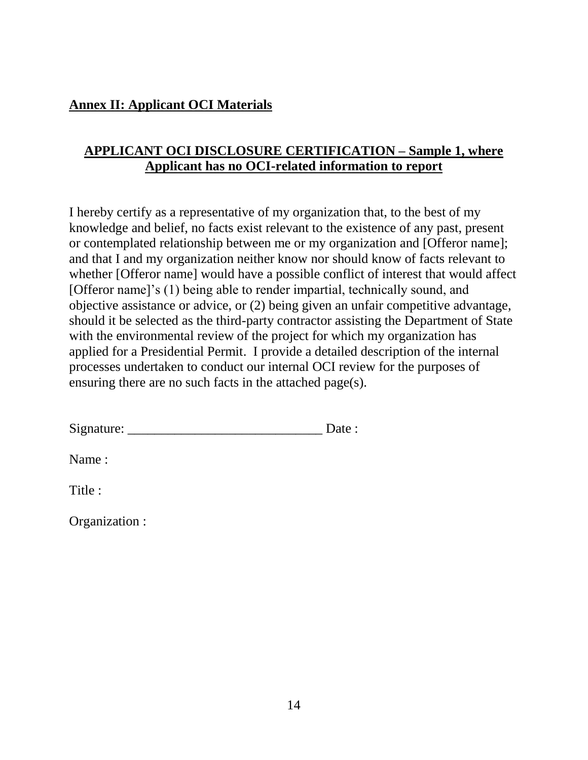### **Annex II: Applicant OCI Materials**

#### **APPLICANT OCI DISCLOSURE CERTIFICATION – Sample 1, where Applicant has no OCI-related information to report**

I hereby certify as a representative of my organization that, to the best of my knowledge and belief, no facts exist relevant to the existence of any past, present or contemplated relationship between me or my organization and [Offeror name]; and that I and my organization neither know nor should know of facts relevant to whether [Offeror name] would have a possible conflict of interest that would affect [Offeror name]'s (1) being able to render impartial, technically sound, and objective assistance or advice, or (2) being given an unfair competitive advantage, should it be selected as the third-party contractor assisting the Department of State with the environmental review of the project for which my organization has applied for a Presidential Permit. I provide a detailed description of the internal processes undertaken to conduct our internal OCI review for the purposes of ensuring there are no such facts in the attached page(s).

Name :

Title :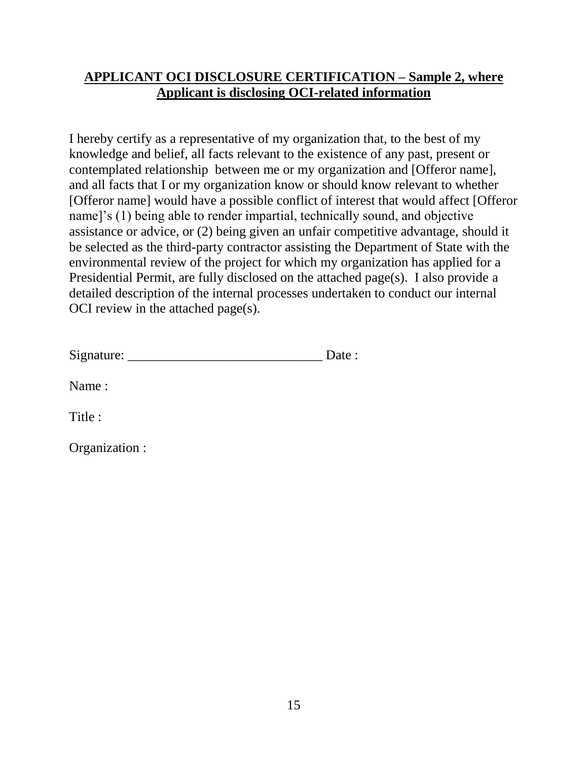#### **APPLICANT OCI DISCLOSURE CERTIFICATION – Sample 2, where Applicant is disclosing OCI-related information**

I hereby certify as a representative of my organization that, to the best of my knowledge and belief, all facts relevant to the existence of any past, present or contemplated relationship between me or my organization and [Offeror name], and all facts that I or my organization know or should know relevant to whether [Offeror name] would have a possible conflict of interest that would affect [Offeror name]'s (1) being able to render impartial, technically sound, and objective assistance or advice, or (2) being given an unfair competitive advantage, should it be selected as the third-party contractor assisting the Department of State with the environmental review of the project for which my organization has applied for a Presidential Permit, are fully disclosed on the attached page(s). I also provide a detailed description of the internal processes undertaken to conduct our internal OCI review in the attached page(s).

| Signature: |  |  |
|------------|--|--|
|            |  |  |

Name :

Title :